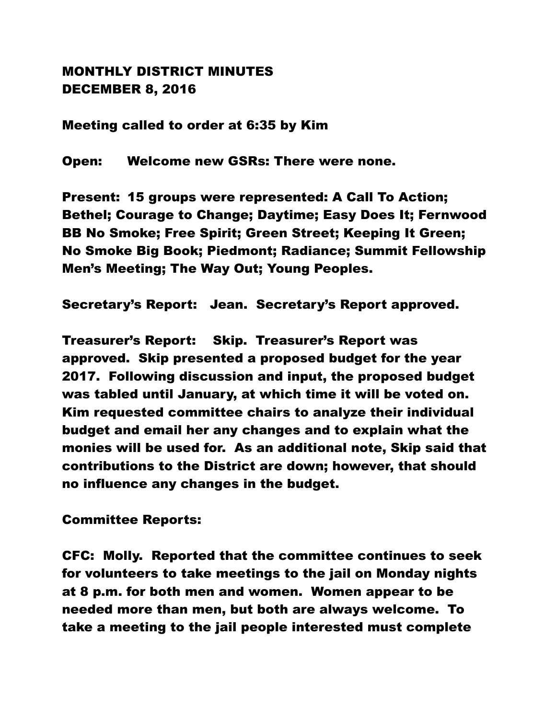## MONTHLY DISTRICT MINUTES DECEMBER 8, 2016

Meeting called to order at 6:35 by Kim

Open: Welcome new GSRs: There were none.

Present: 15 groups were represented: A Call To Action; Bethel; Courage to Change; Daytime; Easy Does It; Fernwood BB No Smoke; Free Spirit; Green Street; Keeping It Green; No Smoke Big Book; Piedmont; Radiance; Summit Fellowship Men's Meeting; The Way Out; Young Peoples.

Secretary's Report: Jean. Secretary's Report approved.

Treasurer's Report: Skip. Treasurer's Report was approved. Skip presented a proposed budget for the year 2017. Following discussion and input, the proposed budget was tabled until January, at which time it will be voted on. Kim requested committee chairs to analyze their individual budget and email her any changes and to explain what the monies will be used for. As an additional note, Skip said that contributions to the District are down; however, that should no influence any changes in the budget.

Committee Reports:

CFC: Molly. Reported that the committee continues to seek for volunteers to take meetings to the jail on Monday nights at 8 p.m. for both men and women. Women appear to be needed more than men, but both are always welcome. To take a meeting to the jail people interested must complete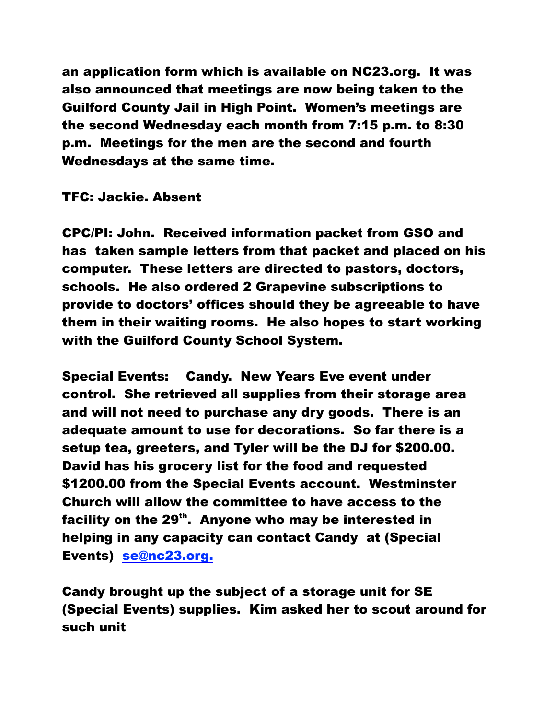an application form which is available on NC23.org. It was also announced that meetings are now being taken to the Guilford County Jail in High Point. Women's meetings are the second Wednesday each month from 7:15 p.m. to 8:30 p.m. Meetings for the men are the second and fourth Wednesdays at the same time.

## TFC: Jackie. Absent

CPC/PI: John. Received information packet from GSO and has taken sample letters from that packet and placed on his computer. These letters are directed to pastors, doctors, schools. He also ordered 2 Grapevine subscriptions to provide to doctors' offices should they be agreeable to have them in their waiting rooms. He also hopes to start working with the Guilford County School System.

Special Events: Candy. New Years Eve event under control. She retrieved all supplies from their storage area and will not need to purchase any dry goods. There is an adequate amount to use for decorations. So far there is a setup tea, greeters, and Tyler will be the DJ for \$200.00. David has his grocery list for the food and requested \$1200.00 from the Special Events account. Westminster Church will allow the committee to have access to the facility on the  $29<sup>th</sup>$ . Anyone who may be interested in helping in any capacity can contact Candy at (Special Events) se@nc23.org.

Candy brought up the subject of a storage unit for SE (Special Events) supplies. Kim asked her to scout around for such unit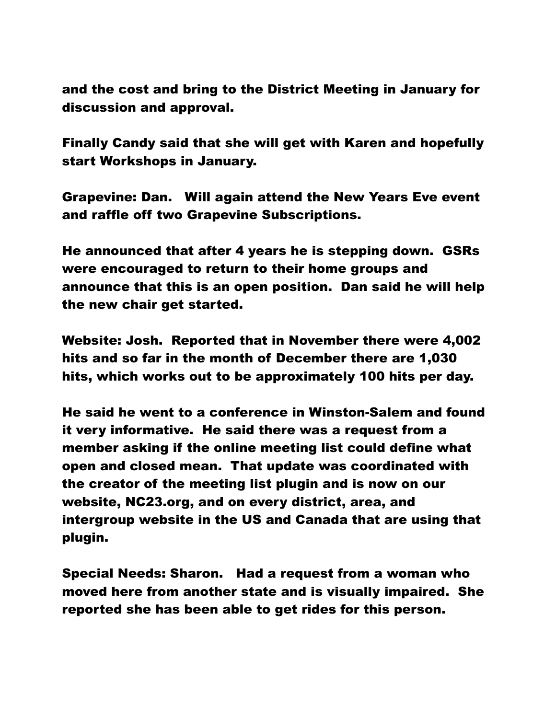and the cost and bring to the District Meeting in January for discussion and approval.

Finally Candy said that she will get with Karen and hopefully start Workshops in January.

Grapevine: Dan. Will again attend the New Years Eve event and raffle off two Grapevine Subscriptions.

He announced that after 4 years he is stepping down. GSRs were encouraged to return to their home groups and announce that this is an open position. Dan said he will help the new chair get started.

Website: Josh. Reported that in November there were 4,002 hits and so far in the month of December there are 1,030 hits, which works out to be approximately 100 hits per day.

He said he went to a conference in Winston-Salem and found it very informative. He said there was a request from a member asking if the online meeting list could define what open and closed mean. That update was coordinated with the creator of the meeting list plugin and is now on our website, NC23.org, and on every district, area, and intergroup website in the US and Canada that are using that plugin.

Special Needs: Sharon. Had a request from a woman who moved here from another state and is visually impaired. She reported she has been able to get rides for this person.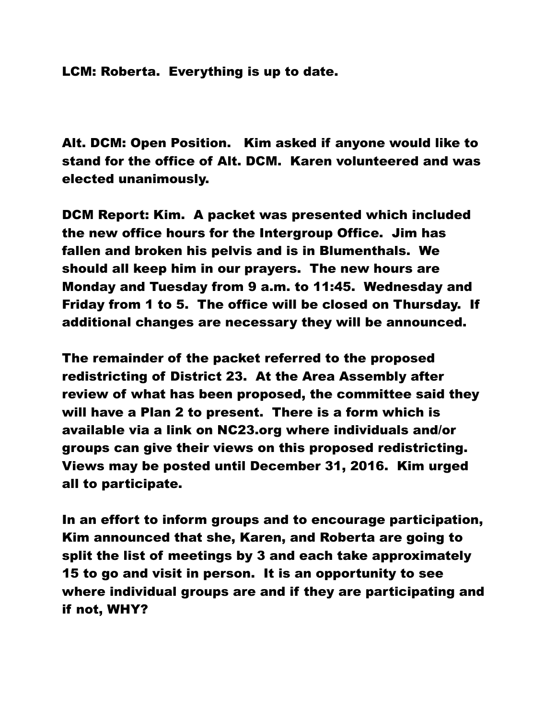LCM: Roberta. Everything is up to date.

Alt. DCM: Open Position. Kim asked if anyone would like to stand for the office of Alt. DCM. Karen volunteered and was elected unanimously.

DCM Report: Kim. A packet was presented which included the new office hours for the Intergroup Office. Jim has fallen and broken his pelvis and is in Blumenthals. We should all keep him in our prayers. The new hours are Monday and Tuesday from 9 a.m. to 11:45. Wednesday and Friday from 1 to 5. The office will be closed on Thursday. If additional changes are necessary they will be announced.

The remainder of the packet referred to the proposed redistricting of District 23. At the Area Assembly after review of what has been proposed, the committee said they will have a Plan 2 to present. There is a form which is available via a link on NC23.org where individuals and/or groups can give their views on this proposed redistricting. Views may be posted until December 31, 2016. Kim urged all to participate.

In an effort to inform groups and to encourage participation, Kim announced that she, Karen, and Roberta are going to split the list of meetings by 3 and each take approximately 15 to go and visit in person. It is an opportunity to see where individual groups are and if they are participating and if not, WHY?